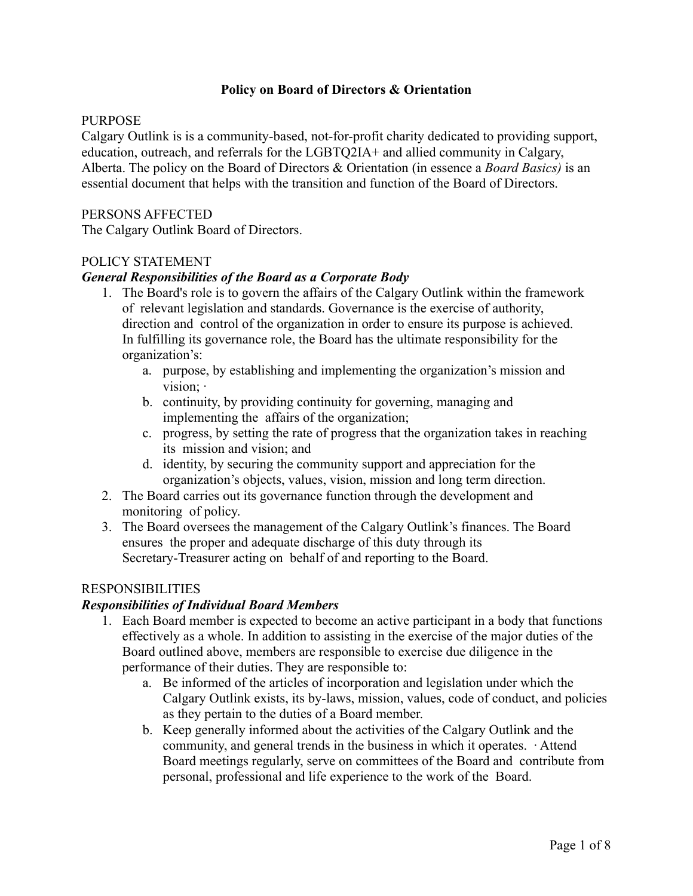## **Policy on Board of Directors & Orientation**

### PURPOSE

Calgary Outlink is is a community-based, not-for-profit charity dedicated to providing support, education, outreach, and referrals for the LGBTQ2IA+ and allied community in Calgary, Alberta. The policy on the Board of Directors & Orientation (in essence a *Board Basics)* is an essential document that helps with the transition and function of the Board of Directors.

## PERSONS AFFECTED

The Calgary Outlink Board of Directors.

## POLICY STATEMENT

### *General Responsibilities of the Board as a Corporate Body*

- 1. The Board's role is to govern the affairs of the Calgary Outlink within the framework of relevant legislation and standards. Governance is the exercise of authority, direction and control of the organization in order to ensure its purpose is achieved. In fulfilling its governance role, the Board has the ultimate responsibility for the organization's:
	- a. purpose, by establishing and implementing the organization's mission and vision; ∙
	- b. continuity, by providing continuity for governing, managing and implementing the affairs of the organization;
	- c. progress, by setting the rate of progress that the organization takes in reaching its mission and vision; and
	- d. identity, by securing the community support and appreciation for the organization's objects, values, vision, mission and long term direction.
- 2. The Board carries out its governance function through the development and monitoring of policy.
- 3. The Board oversees the management of the Calgary Outlink's finances. The Board ensures the proper and adequate discharge of this duty through its Secretary-Treasurer acting on behalf of and reporting to the Board.

#### RESPONSIBILITIES

#### *Responsibilities of Individual Board Members*

- 1. Each Board member is expected to become an active participant in a body that functions effectively as a whole. In addition to assisting in the exercise of the major duties of the Board outlined above, members are responsible to exercise due diligence in the performance of their duties. They are responsible to:
	- a. Be informed of the articles of incorporation and legislation under which the Calgary Outlink exists, its by-laws, mission, values, code of conduct, and policies as they pertain to the duties of a Board member.
	- b. Keep generally informed about the activities of the Calgary Outlink and the community, and general trends in the business in which it operates. ∙ Attend Board meetings regularly, serve on committees of the Board and contribute from personal, professional and life experience to the work of the Board.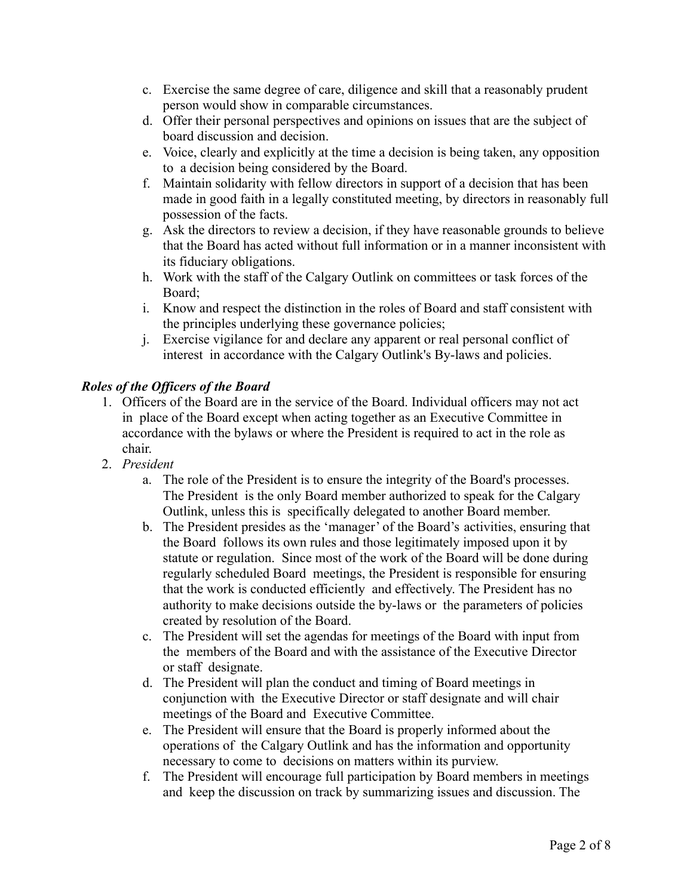- c. Exercise the same degree of care, diligence and skill that a reasonably prudent person would show in comparable circumstances.
- d. Offer their personal perspectives and opinions on issues that are the subject of board discussion and decision.
- e. Voice, clearly and explicitly at the time a decision is being taken, any opposition to a decision being considered by the Board.
- f. Maintain solidarity with fellow directors in support of a decision that has been made in good faith in a legally constituted meeting, by directors in reasonably full possession of the facts.
- g. Ask the directors to review a decision, if they have reasonable grounds to believe that the Board has acted without full information or in a manner inconsistent with its fiduciary obligations.
- h. Work with the staff of the Calgary Outlink on committees or task forces of the Board;
- i. Know and respect the distinction in the roles of Board and staff consistent with the principles underlying these governance policies;
- j. Exercise vigilance for and declare any apparent or real personal conflict of interest in accordance with the Calgary Outlink's By-laws and policies.

# *Roles of the Officers of the Board*

- 1. Officers of the Board are in the service of the Board. Individual officers may not act in place of the Board except when acting together as an Executive Committee in accordance with the bylaws or where the President is required to act in the role as chair.
- 2. *President*
	- a. The role of the President is to ensure the integrity of the Board's processes. The President is the only Board member authorized to speak for the Calgary Outlink, unless this is specifically delegated to another Board member.
	- b. The President presides as the 'manager' of the Board's activities, ensuring that the Board follows its own rules and those legitimately imposed upon it by statute or regulation. Since most of the work of the Board will be done during regularly scheduled Board meetings, the President is responsible for ensuring that the work is conducted efficiently and effectively. The President has no authority to make decisions outside the by-laws or the parameters of policies created by resolution of the Board.
	- c. The President will set the agendas for meetings of the Board with input from the members of the Board and with the assistance of the Executive Director or staff designate.
	- d. The President will plan the conduct and timing of Board meetings in conjunction with the Executive Director or staff designate and will chair meetings of the Board and Executive Committee.
	- e. The President will ensure that the Board is properly informed about the operations of the Calgary Outlink and has the information and opportunity necessary to come to decisions on matters within its purview.
	- f. The President will encourage full participation by Board members in meetings and keep the discussion on track by summarizing issues and discussion. The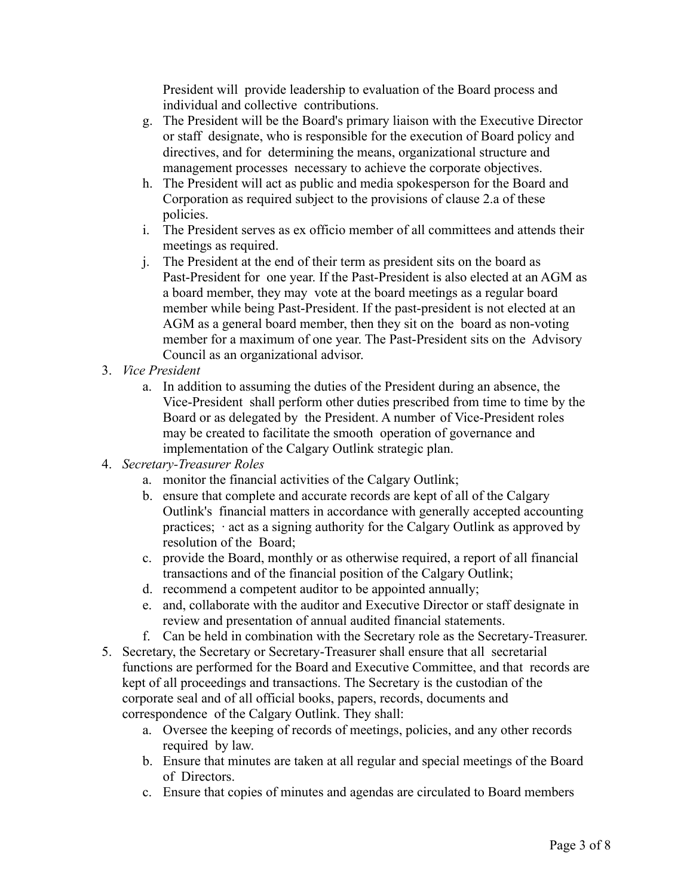President will provide leadership to evaluation of the Board process and individual and collective contributions.

- g. The President will be the Board's primary liaison with the Executive Director or staff designate, who is responsible for the execution of Board policy and directives, and for determining the means, organizational structure and management processes necessary to achieve the corporate objectives.
- h. The President will act as public and media spokesperson for the Board and Corporation as required subject to the provisions of clause 2.a of these policies.
- i. The President serves as ex officio member of all committees and attends their meetings as required.
- j. The President at the end of their term as president sits on the board as Past-President for one year. If the Past-President is also elected at an AGM as a board member, they may vote at the board meetings as a regular board member while being Past-President. If the past-president is not elected at an AGM as a general board member, then they sit on the board as non-voting member for a maximum of one year. The Past-President sits on the Advisory Council as an organizational advisor.
- 3. *Vice President*
	- a. In addition to assuming the duties of the President during an absence, the Vice-President shall perform other duties prescribed from time to time by the Board or as delegated by the President. A number of Vice-President roles may be created to facilitate the smooth operation of governance and implementation of the Calgary Outlink strategic plan.
- 4. *Secretary-Treasurer Roles*
	- a. monitor the financial activities of the Calgary Outlink;
	- b. ensure that complete and accurate records are kept of all of the Calgary Outlink's financial matters in accordance with generally accepted accounting practices; ∙ act as a signing authority for the Calgary Outlink as approved by resolution of the Board;
	- c. provide the Board, monthly or as otherwise required, a report of all financial transactions and of the financial position of the Calgary Outlink;
	- d. recommend a competent auditor to be appointed annually;
	- e. and, collaborate with the auditor and Executive Director or staff designate in review and presentation of annual audited financial statements.
	- f. Can be held in combination with the Secretary role as the Secretary-Treasurer.
- 5. Secretary, the Secretary or Secretary-Treasurer shall ensure that all secretarial functions are performed for the Board and Executive Committee, and that records are kept of all proceedings and transactions. The Secretary is the custodian of the corporate seal and of all official books, papers, records, documents and correspondence of the Calgary Outlink. They shall:
	- a. Oversee the keeping of records of meetings, policies, and any other records required by law.
	- b. Ensure that minutes are taken at all regular and special meetings of the Board of Directors.
	- c. Ensure that copies of minutes and agendas are circulated to Board members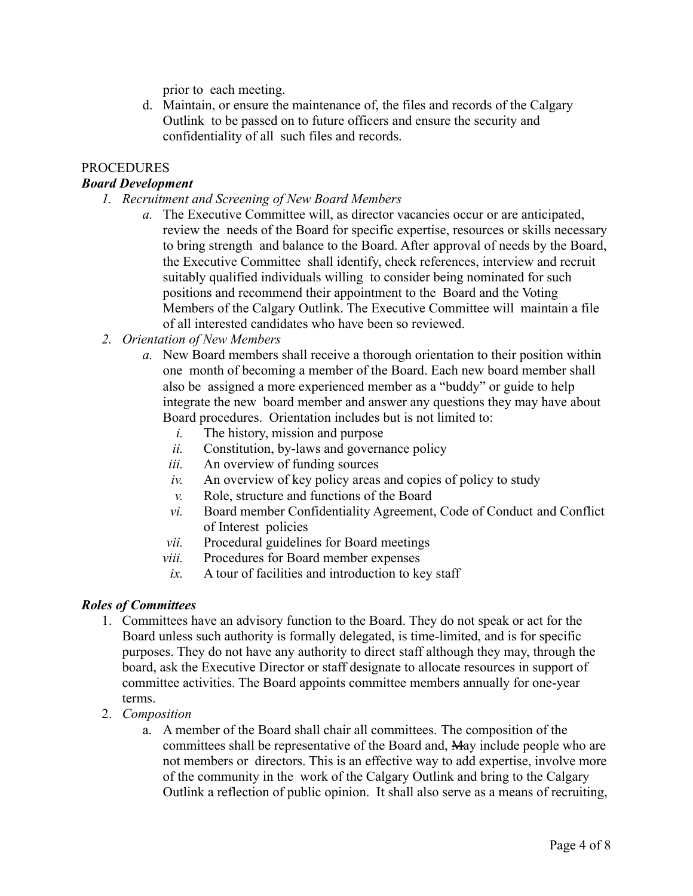prior to each meeting.

d. Maintain, or ensure the maintenance of, the files and records of the Calgary Outlink to be passed on to future officers and ensure the security and confidentiality of all such files and records.

# **PROCEDURES**

## *Board Development*

- *1. Recruitment and Screening of New Board Members*
	- *a.* The Executive Committee will, as director vacancies occur or are anticipated, review the needs of the Board for specific expertise, resources or skills necessary to bring strength and balance to the Board. After approval of needs by the Board, the Executive Committee shall identify, check references, interview and recruit suitably qualified individuals willing to consider being nominated for such positions and recommend their appointment to the Board and the Voting Members of the Calgary Outlink. The Executive Committee will maintain a file of all interested candidates who have been so reviewed.
- *2. Orientation of New Members*
	- *a.* New Board members shall receive a thorough orientation to their position within one month of becoming a member of the Board. Each new board member shall also be assigned a more experienced member as a "buddy" or guide to help integrate the new board member and answer any questions they may have about Board procedures. Orientation includes but is not limited to:
		- *i.* The history, mission and purpose
		- *ii.* Constitution, by-laws and governance policy
		- *iii.* An overview of funding sources
		- *iv.* An overview of key policy areas and copies of policy to study
		- *v.* Role, structure and functions of the Board
		- *vi.* Board member Confidentiality Agreement, Code of Conduct and Conflict of Interest policies
		- *vii.* Procedural guidelines for Board meetings
		- *viii.* Procedures for Board member expenses
		- *ix.* A tour of facilities and introduction to key staff

### *Roles of Committees*

- 1. Committees have an advisory function to the Board. They do not speak or act for the Board unless such authority is formally delegated, is time-limited, and is for specific purposes. They do not have any authority to direct staff although they may, through the board, ask the Executive Director or staff designate to allocate resources in support of committee activities. The Board appoints committee members annually for one-year terms.
- 2. *Composition*
	- a. A member of the Board shall chair all committees. The composition of the committees shall be representative of the Board and, May include people who are not members or directors. This is an effective way to add expertise, involve more of the community in the work of the Calgary Outlink and bring to the Calgary Outlink a reflection of public opinion. It shall also serve as a means of recruiting,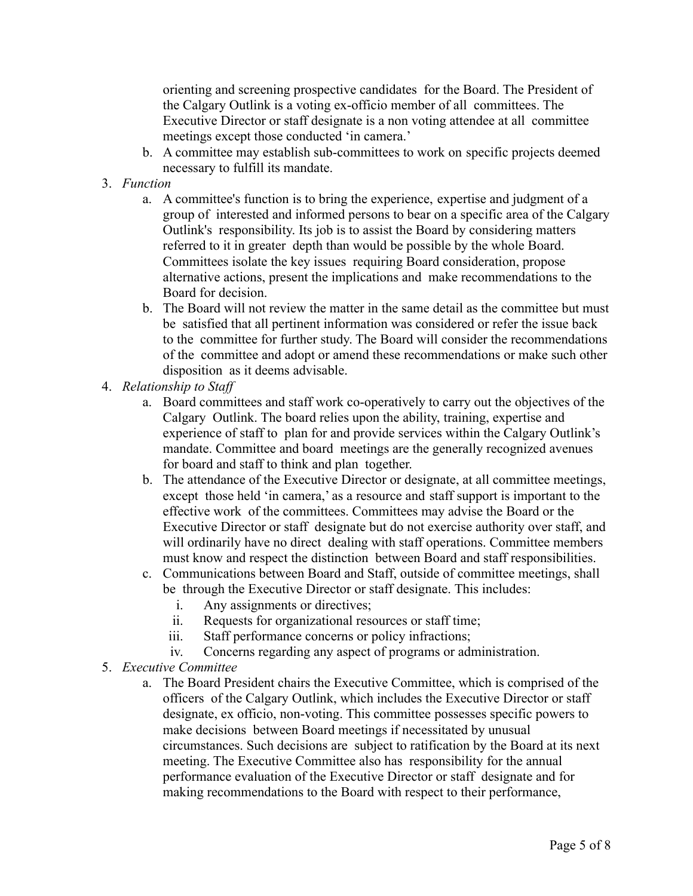orienting and screening prospective candidates for the Board. The President of the Calgary Outlink is a voting ex-officio member of all committees. The Executive Director or staff designate is a non voting attendee at all committee meetings except those conducted 'in camera.'

- b. A committee may establish sub-committees to work on specific projects deemed necessary to fulfill its mandate.
- 3. *Function*
	- a. A committee's function is to bring the experience, expertise and judgment of a group of interested and informed persons to bear on a specific area of the Calgary Outlink's responsibility. Its job is to assist the Board by considering matters referred to it in greater depth than would be possible by the whole Board. Committees isolate the key issues requiring Board consideration, propose alternative actions, present the implications and make recommendations to the Board for decision.
	- b. The Board will not review the matter in the same detail as the committee but must be satisfied that all pertinent information was considered or refer the issue back to the committee for further study. The Board will consider the recommendations of the committee and adopt or amend these recommendations or make such other disposition as it deems advisable.
- 4. *Relationship to Staff*
	- a. Board committees and staff work co-operatively to carry out the objectives of the Calgary Outlink. The board relies upon the ability, training, expertise and experience of staff to plan for and provide services within the Calgary Outlink's mandate. Committee and board meetings are the generally recognized avenues for board and staff to think and plan together.
	- b. The attendance of the Executive Director or designate, at all committee meetings, except those held 'in camera,' as a resource and staff support is important to the effective work of the committees. Committees may advise the Board or the Executive Director or staff designate but do not exercise authority over staff, and will ordinarily have no direct dealing with staff operations. Committee members must know and respect the distinction between Board and staff responsibilities.
	- c. Communications between Board and Staff, outside of committee meetings, shall be through the Executive Director or staff designate. This includes:
		- i. Any assignments or directives;
		- ii. Requests for organizational resources or staff time;
		- iii. Staff performance concerns or policy infractions;
		- iv. Concerns regarding any aspect of programs or administration.
- 5. *Executive Committee*
	- a. The Board President chairs the Executive Committee, which is comprised of the officers of the Calgary Outlink, which includes the Executive Director or staff designate, ex officio, non-voting. This committee possesses specific powers to make decisions between Board meetings if necessitated by unusual circumstances. Such decisions are subject to ratification by the Board at its next meeting. The Executive Committee also has responsibility for the annual performance evaluation of the Executive Director or staff designate and for making recommendations to the Board with respect to their performance,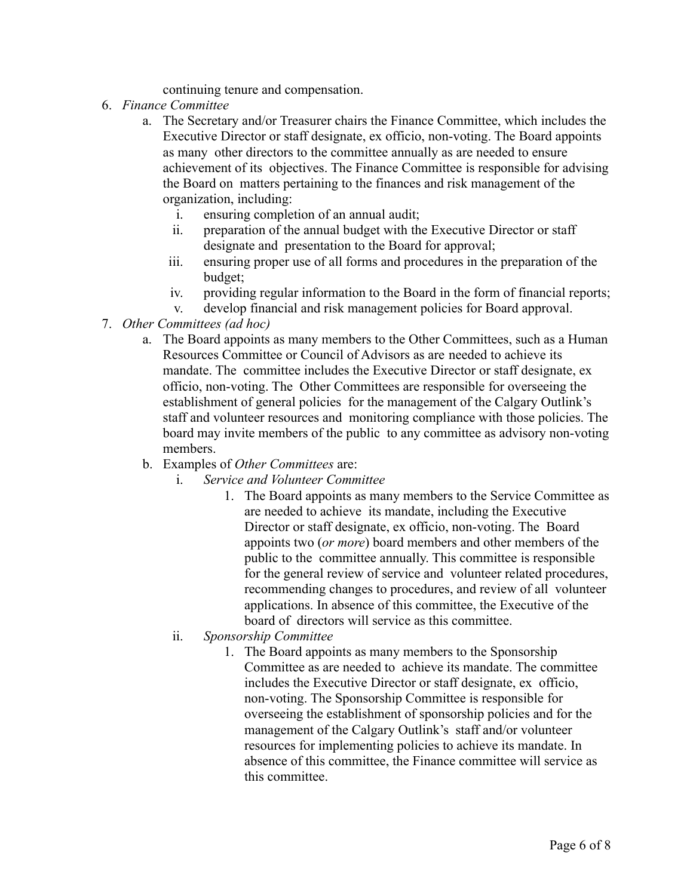continuing tenure and compensation.

- 6. *Finance Committee*
	- a. The Secretary and/or Treasurer chairs the Finance Committee, which includes the Executive Director or staff designate, ex officio, non-voting. The Board appoints as many other directors to the committee annually as are needed to ensure achievement of its objectives. The Finance Committee is responsible for advising the Board on matters pertaining to the finances and risk management of the organization, including:
		- i. ensuring completion of an annual audit;
		- ii. preparation of the annual budget with the Executive Director or staff designate and presentation to the Board for approval;
		- iii. ensuring proper use of all forms and procedures in the preparation of the budget;
		- iv. providing regular information to the Board in the form of financial reports;
		- v. develop financial and risk management policies for Board approval.
- 7. *Other Committees (ad hoc)*
	- a. The Board appoints as many members to the Other Committees, such as a Human Resources Committee or Council of Advisors as are needed to achieve its mandate. The committee includes the Executive Director or staff designate, ex officio, non-voting. The Other Committees are responsible for overseeing the establishment of general policies for the management of the Calgary Outlink's staff and volunteer resources and monitoring compliance with those policies. The board may invite members of the public to any committee as advisory non-voting members.
	- b. Examples of *Other Committees* are:
		- i. *Service and Volunteer Committee*
			- 1. The Board appoints as many members to the Service Committee as are needed to achieve its mandate, including the Executive Director or staff designate, ex officio, non-voting. The Board appoints two (*or more*) board members and other members of the public to the committee annually. This committee is responsible for the general review of service and volunteer related procedures, recommending changes to procedures, and review of all volunteer applications. In absence of this committee, the Executive of the board of directors will service as this committee.
		- ii. *Sponsorship Committee*
			- 1. The Board appoints as many members to the Sponsorship Committee as are needed to achieve its mandate. The committee includes the Executive Director or staff designate, ex officio, non-voting. The Sponsorship Committee is responsible for overseeing the establishment of sponsorship policies and for the management of the Calgary Outlink's staff and/or volunteer resources for implementing policies to achieve its mandate. In absence of this committee, the Finance committee will service as this committee.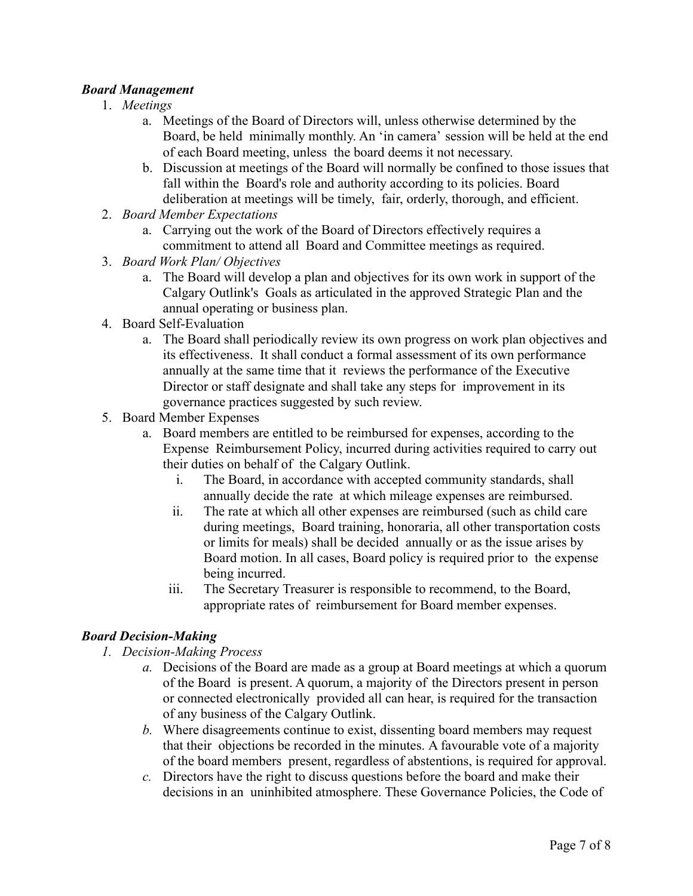# *Board Management*

- 1. *Meetings*
	- a. Meetings of the Board of Directors will, unless otherwise determined by the Board, be held minimally monthly. An 'in camera' session will be held at the end of each Board meeting, unless the board deems it not necessary.
	- b. Discussion at meetings of the Board will normally be confined to those issues that fall within the Board's role and authority according to its policies. Board deliberation at meetings will be timely, fair, orderly, thorough, and efficient.
- 2. *Board Member Expectations*
	- a. Carrying out the work of the Board of Directors effectively requires a commitment to attend all Board and Committee meetings as required.
- 3. *Board Work Plan/ Objectives*
	- a. The Board will develop a plan and objectives for its own work in support of the Calgary Outlink's Goals as articulated in the approved Strategic Plan and the annual operating or business plan.
- 4. Board Self-Evaluation
	- a. The Board shall periodically review its own progress on work plan objectives and its effectiveness. It shall conduct a formal assessment of its own performance annually at the same time that it reviews the performance of the Executive Director or staff designate and shall take any steps for improvement in its governance practices suggested by such review.
- 5. Board Member Expenses
	- a. Board members are entitled to be reimbursed for expenses, according to the Expense Reimbursement Policy, incurred during activities required to carry out their duties on behalf of the Calgary Outlink.
		- i. The Board, in accordance with accepted community standards, shall annually decide the rate at which mileage expenses are reimbursed.
		- ii. The rate at which all other expenses are reimbursed (such as child care during meetings, Board training, honoraria, all other transportation costs or limits for meals) shall be decided annually or as the issue arises by Board motion. In all cases, Board policy is required prior to the expense being incurred.
		- iii. The Secretary Treasurer is responsible to recommend, to the Board, appropriate rates of reimbursement for Board member expenses.

# *Board Decision-Making*

- *1. Decision-Making Process*
	- *a.* Decisions of the Board are made as a group at Board meetings at which a quorum of the Board is present. A quorum, a majority of the Directors present in person or connected electronically provided all can hear, is required for the transaction of any business of the Calgary Outlink.
	- *b.* Where disagreements continue to exist, dissenting board members may request that their objections be recorded in the minutes. A favourable vote of a majority of the board members present, regardless of abstentions, is required for approval.
	- *c.* Directors have the right to discuss questions before the board and make their decisions in an uninhibited atmosphere. These Governance Policies, the Code of